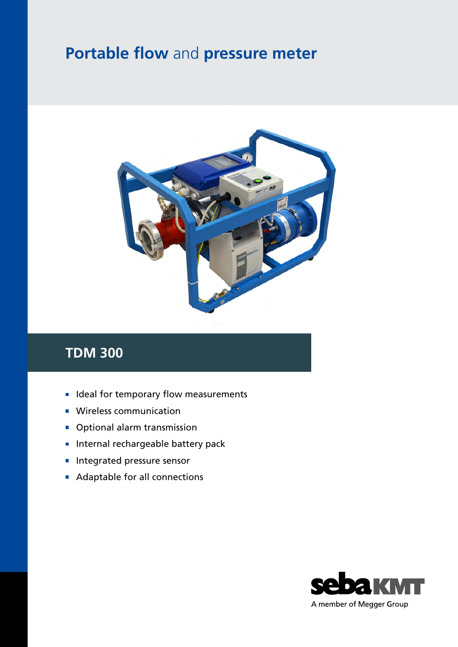## **Portable flow** and **pressure meter**



## **TDM 300**

- **In Ideal for temporary flow measurements**
- **Wireless communication**
- Optional alarm transmission  $\overline{\mathbb{R}^n}$
- **Internal rechargeable battery pack**
- Integrated pressure sensor п
- Adaptable for all connections  $\overline{\phantom{a}}$

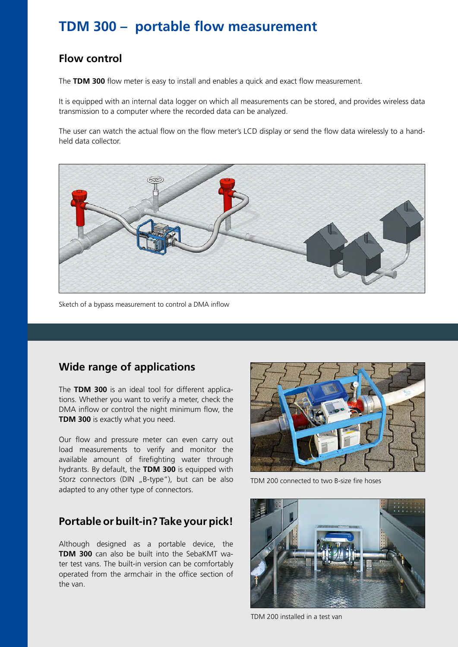## **TDM 300 – portable flow measurement**

#### **Flow control**

The **TDM 300** flow meter is easy to install and enables a quick and exact flow measurement.

It is equipped with an internal data logger on which all measurements can be stored, and provides wireless data transmission to a computer where the recorded data can be analyzed.

The user can watch the actual flow on the flow meter's LCD display or send the flow data wirelessly to a handheld data collector.



Sketch of a bypass measurement to control a DMA inflow

#### **Wide range of applications**

The **TDM 300** is an ideal tool for different applications. Whether you want to verify a meter, check the DMA inflow or control the night minimum flow, the **TDM 300** is exactly what you need.

Our flow and pressure meter can even carry out load measurements to verify and monitor the available amount of firefighting water through hydrants. By default, the **TDM 300** is equipped with Storz connectors (DIN "B-type"), but can be also adapted to any other type of connectors.

#### **Portable or built-in? Take your pick!**

Although designed as a portable device, the **TDM 300** can also be built into the SebaKMT water test vans. The built-in version can be comfortably operated from the armchair in the office section of the van.



TDM 200 connected to two B-size fire hoses



TDM 200 installed in a test van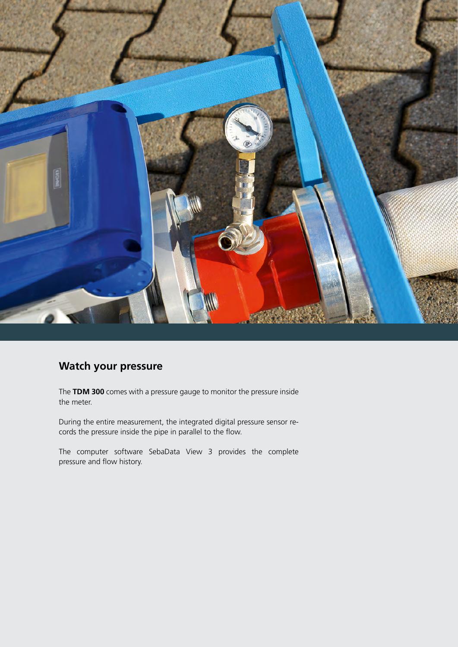

#### **Watch your pressure**

The **TDM 300** comes with a pressure gauge to monitor the pressure inside the meter.

During the entire measurement, the integrated digital pressure sensor records the pressure inside the pipe in parallel to the flow.

The computer software SebaData View 3 provides the complete pressure and flow history.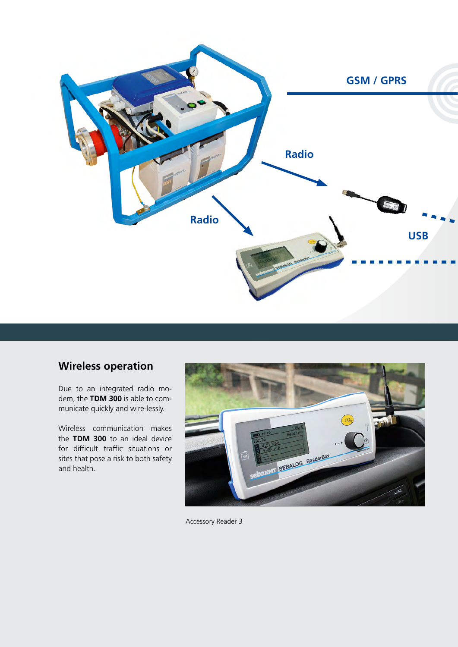

#### **Wireless operation**

Due to an integrated radio modem, the **TDM 300** is able to communicate quickly and wire-lessly.

Wireless communication makes the **TDM 300** to an ideal device for difficult traffic situations or sites that pose a risk to both safety and health.



Accessory Reader 3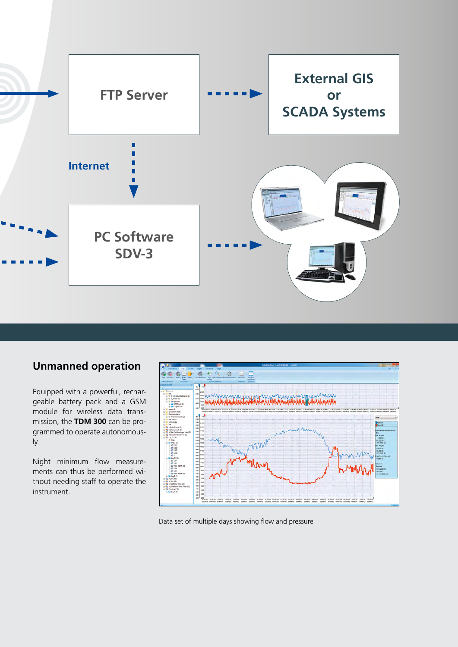

### **Unmanned operation**

Equipped with a powerful, rechargeable battery pack and a GSM module for wireless data transmission, the **TDM 300** can be programmed to operate autonomously.

Night minimum flow measurements can thus be performed without needing staff to operate the instrument.



Data set of multiple days showing flow and pressure